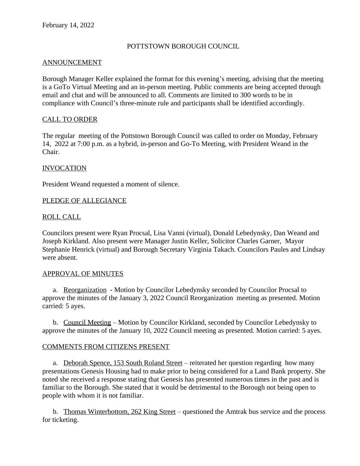## POTTSTOWN BOROUGH COUNCIL

## ANNOUNCEMENT

Borough Manager Keller explained the format for this evening's meeting, advising that the meeting is a GoTo Virtual Meeting and an in-person meeting. Public comments are being accepted through email and chat and will be announced to all. Comments are limited to 300 words to be in compliance with Council's three-minute rule and participants shall be identified accordingly.

## CALL TO ORDER

The regular meeting of the Pottstown Borough Council was called to order on Monday, February 14, 2022 at 7:00 p.m. as a hybrid, in-person and Go-To Meeting, with President Weand in the Chair.

## INVOCATION

President Weand requested a moment of silence.

## PLEDGE OF ALLEGIANCE

## ROLL CALL

Councilors present were Ryan Procsal, Lisa Vanni (virtual), Donald Lebedynsky, Dan Weand and Joseph Kirkland. Also present were Manager Justin Keller, Solicitor Charles Garner, Mayor Stephanie Henrick (virtual) and Borough Secretary Virginia Takach. Councilors Paules and Lindsay were absent.

#### APPROVAL OF MINUTES

a. Reorganization - Motion by Councilor Lebedynsky seconded by Councilor Procsal to approve the minutes of the January 3, 2022 Council Reorganization meeting as presented. Motion carried: 5 ayes.

b. Council Meeting – Motion by Councilor Kirkland, seconded by Councilor Lebedynsky to approve the minutes of the January 10, 2022 Council meeting as presented. Motion carried: 5 ayes.

#### COMMENTS FROM CITIZENS PRESENT

a. Deborah Spence, 153 South Roland Street – reiterated her question regarding how many presentations Genesis Housing had to make prior to being considered for a Land Bank property. She noted she received a response stating that Genesis has presented numerous times in the past and is familiar to the Borough. She stated that it would be detrimental to the Borough not being open to people with whom it is not familiar.

b. Thomas Winterbottom, 262 King Street – questioned the Amtrak bus service and the process for ticketing.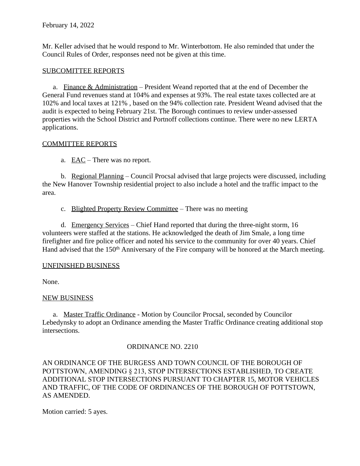Mr. Keller advised that he would respond to Mr. Winterbottom. He also reminded that under the Council Rules of Order, responses need not be given at this time.

# SUBCOMITTEE REPORTS

a. Finance & Administration – President Weand reported that at the end of December the General Fund revenues stand at 104% and expenses at 93%. The real estate taxes collected are at 102% and local taxes at 121% , based on the 94% collection rate. President Weand advised that the audit is expected to being February 21st. The Borough continues to review under-assessed properties with the School District and Portnoff collections continue. There were no new LERTA applications.

# COMMITTEE REPORTS

a. EAC – There was no report.

b. Regional Planning – Council Procsal advised that large projects were discussed, including the New Hanover Township residential project to also include a hotel and the traffic impact to the area.

c. Blighted Property Review Committee – There was no meeting

d. Emergency Services – Chief Hand reported that during the three-night storm, 16 volunteers were staffed at the stations. He acknowledged the death of Jim Smale, a long time firefighter and fire police officer and noted his service to the community for over 40 years. Chief Hand advised that the 150<sup>th</sup> Anniversary of the Fire company will be honored at the March meeting.

# UNFINISHED BUSINESS

None.

# NEW BUSINESS

a. Master Traffic Ordinance - Motion by Councilor Procsal, seconded by Councilor Lebedynsky to adopt an Ordinance amending the Master Traffic Ordinance creating additional stop intersections.

# ORDINANCE NO. 2210

AN ORDINANCE OF THE BURGESS AND TOWN COUNCIL OF THE BOROUGH OF POTTSTOWN, AMENDING § 213, STOP INTERSECTIONS ESTABLISHED, TO CREATE ADDITIONAL STOP INTERSECTIONS PURSUANT TO CHAPTER 15, MOTOR VEHICLES AND TRAFFIC, OF THE CODE OF ORDINANCES OF THE BOROUGH OF POTTSTOWN, AS AMENDED.

Motion carried: 5 ayes.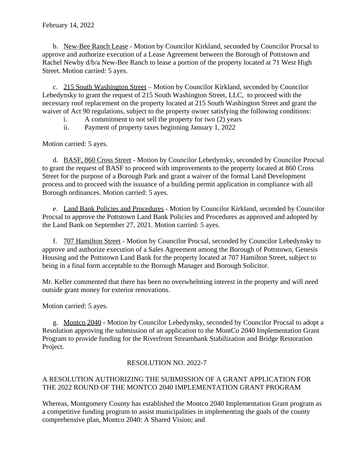b. New-Bee Ranch Lease - Motion by Councilor Kirkland, seconded by Councilor Procsal to approve and authorize execution of a Lease Agreement between the Borough of Pottstown and Rachel Newby d/b/a New-Bee Ranch to lease a portion of the property located at 71 West High Street. Motion carried: 5 ayes.

c. 215 South Washington Street – Motion by Councilor Kirkland, seconded by Councilor Lebedynsky to grant the request of 215 South Washington Street, LLC, to proceed with the necessary roof replacement on the property located at 215 South Washington Street and grant the waiver of Act 90 regulations, subject to the property owner satisfying the following conditions:

- i. A commitment to not sell the property for two (2) years
- ii. Payment of property taxes beginning January 1, 2022

Motion carried: 5 ayes.

d. BASF, 860 Cross Street - Motion by Councilor Lebedynsky, seconded by Councilor Procsal to grant the request of BASF to proceed with improvements to the property located at 860 Cross Street for the purpose of a Borough Park and grant a waiver of the formal Land Development process and to proceed with the issuance of a building permit application in compliance with all Borough ordinances. Motion carried: 5 ayes.

e. Land Bank Policies and Procedures - Motion by Councilor Kirkland, seconded by Councilor Procsal to approve the Pottstown Land Bank Policies and Procedures as approved and adopted by the Land Bank on September 27, 2021. Motion carried: 5 ayes.

f. 707 Hamilton Street - Motion by Councilor Procsal, seconded by Councilor Lebedynsky to approve and authorize execution of a Sales Agreement among the Borough of Pottstown, Genesis Housing and the Pottstown Land Bank for the property located at 707 Hamilton Street, subject to being in a final form acceptable to the Borough Manager and Borough Solicitor.

Mr. Keller commented that there has been no overwhelming interest in the property and will need outside grant money for exterior renovations.

Motion carried: 5 ayes.

g. Montco 2040 - Motion by Councilor Lebedynsky, seconded by Councilor Procsal to adopt a Resolution approving the submission of an application to the MontCo 2040 Implementation Grant Program to provide funding for the Riverfront Streambank Stabilization and Bridge Restoration Project.

# RESOLUTION NO. 2022-7

# A RESOLUTION AUTHORIZING THE SUBMISSION OF A GRANT APPLICATION FOR THE 2022 ROUND OF THE MONTCO 2040 IMPLEMENTATION GRANT PROGRAM

Whereas, Montgomery County has established the Montco 2040 Implementation Grant program as a competitive funding program to assist municipalities in implementing the goals of the county comprehensive plan, Montco 2040: A Shared Vision; and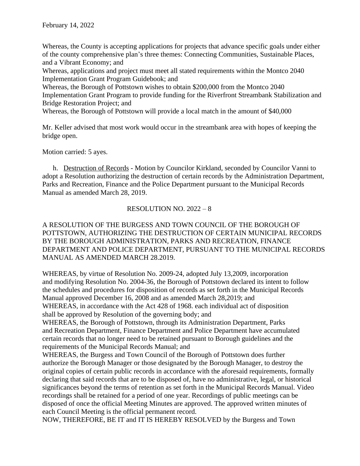Whereas, the County is accepting applications for projects that advance specific goals under either of the county comprehensive plan's three themes: Connecting Communities, Sustainable Places, and a Vibrant Economy; and

Whereas, applications and project must meet all stated requirements within the Montco 2040 Implementation Grant Program Guidebook; and

Whereas, the Borough of Pottstown wishes to obtain \$200,000 from the Montco 2040 Implementation Grant Program to provide funding for the Riverfront Streambank Stabilization and Bridge Restoration Project; and

Whereas, the Borough of Pottstown will provide a local match in the amount of \$40,000

Mr. Keller advised that most work would occur in the streambank area with hopes of keeping the bridge open.

Motion carried: 5 ayes.

h. Destruction of Records - Motion by Councilor Kirkland, seconded by Councilor Vanni to adopt a Resolution authorizing the destruction of certain records by the Administration Department, Parks and Recreation, Finance and the Police Department pursuant to the Municipal Records Manual as amended March 28, 2019.

## RESOLUTION NO. 2022 – 8

## A RESOLUTION OF THE BURGESS AND TOWN COUNCIL OF THE BOROUGH OF POTTSTOWN, AUTHORIZING THE DESTRUCTION OF CERTAIN MUNICIPAL RECORDS BY THE BOROUGH ADMINISTRATION, PARKS AND RECREATION, FINANCE DEPARTMENT AND POLICE DEPARTMENT, PURSUANT TO THE MUNICIPAL RECORDS MANUAL AS AMENDED MARCH 28.2019.

WHEREAS, by virtue of Resolution No. 2009-24, adopted July 13,2009, incorporation and modifying Resolution No. 2004-36, the Borough of Pottstown declared its intent to follow the schedules and procedures for disposition of records as set forth in the Municipal Records Manual approved December 16, 2008 and as amended March 28,2019; and WHEREAS, in accordance with the Act 428 of 1968. each individual act of disposition shall be approved by Resolution of the governing body; and

WHEREAS, the Borough of Pottstown, through its Administration Department, Parks and Recreation Department, Finance Department and Police Department have accumulated certain records that no longer need to be retained pursuant to Borough guidelines and the requirements of the Municipal Records Manual; and

WHEREAS, the Burgess and Town Council of the Borough of Pottstown does further authorize the Borough Manager or those designated by the Borough Manager, to destroy the original copies of certain public records in accordance with the aforesaid requirements, formally declaring that said records that are to be disposed of, have no administrative, legal, or historical significances beyond the terms of retention as set forth in the Municipal Records Manual. Video recordings shall be retained for a period of one year. Recordings of public meetings can be disposed of once the official Meeting Minutes are approved. The approved written minutes of each Council Meeting is the official permanent record.

NOW, THEREFORE, BE IT and IT IS HEREBY RESOLVED by the Burgess and Town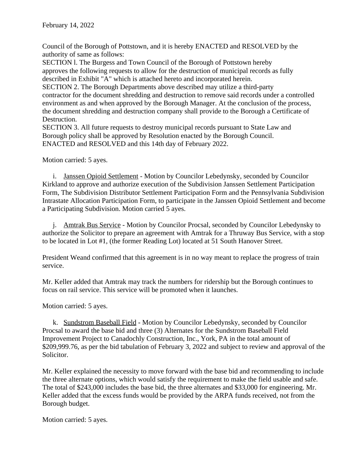Council of the Borough of Pottstown, and it is hereby ENACTED and RESOLVED by the authority of same as follows:

SECTION l. The Burgess and Town Council of the Borough of Pottstown hereby approves the following requests to allow for the destruction of municipal records as fully described in Exhibit "A" which is attached hereto and incorporated herein.

SECTION 2. The Borough Departments above described may utilize a third-party contractor for the document shredding and destruction to remove said records under a controlled environment as and when approved by the Borough Manager. At the conclusion of the process, the document shredding and destruction company shall provide to the Borough a Certificate of Destruction.

SECTION 3. All future requests to destroy municipal records pursuant to State Law and Borough policy shall be approved by Resolution enacted by the Borough Council. ENACTED and RESOLVED and this 14th day of February 2022.

Motion carried: 5 ayes.

i. Janssen Opioid Settlement - Motion by Councilor Lebedynsky, seconded by Councilor Kirkland to approve and authorize execution of the Subdivision Janssen Settlement Participation Form, The Subdivision Distributor Settlement Participation Form and the Pennsylvania Subdivision Intrastate Allocation Participation Form, to participate in the Janssen Opioid Settlement and become a Participating Subdivision. Motion carried 5 ayes.

j. Amtrak Bus Service - Motion by Councilor Procsal, seconded by Councilor Lebedynsky to authorize the Solicitor to prepare an agreement with Amtrak for a Thruway Bus Service, with a stop to be located in Lot #1, (the former Reading Lot) located at 51 South Hanover Street.

President Weand confirmed that this agreement is in no way meant to replace the progress of train service.

Mr. Keller added that Amtrak may track the numbers for ridership but the Borough continues to focus on rail service. This service will be promoted when it launches.

Motion carried: 5 ayes.

k. Sundstrom Baseball Field - Motion by Councilor Lebedynsky, seconded by Councilor Procsal to award the base bid and three (3) Alternates for the Sundstrom Baseball Field Improvement Project to Canadochly Construction, Inc., York, PA in the total amount of \$209,999.76, as per the bid tabulation of February 3, 2022 and subject to review and approval of the Solicitor.

Mr. Keller explained the necessity to move forward with the base bid and recommending to include the three alternate options, which would satisfy the requirement to make the field usable and safe. The total of \$243,000 includes the base bid, the three alternates and \$33,000 for engineering. Mr. Keller added that the excess funds would be provided by the ARPA funds received, not from the Borough budget.

Motion carried: 5 ayes.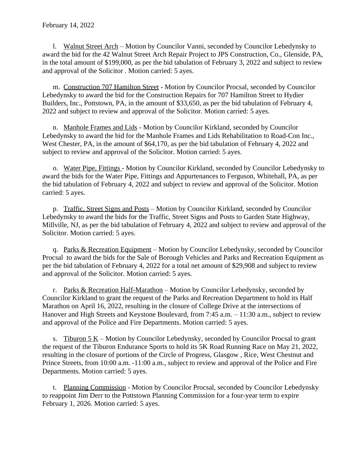l. Walnut Street Arch – Motion by Councilor Vanni, seconded by Councilor Lebedynsky to award the bid for the 42 Walnut Street Arch Repair Project to JPS Construction, Co., Glenside, PA, in the total amount of \$199,000, as per the bid tabulation of February 3, 2022 and subject to review and approval of the Solicitor . Motion carried: 5 ayes.

m. Construction 707 Hamilton Street - Motion by Councilor Procsal, seconded by Councilor Lebedynsky to award the bid for the Construction Repairs for 707 Hamilton Street to Hydier Builders, Inc., Pottstown, PA, in the amount of \$33,650, as per the bid tabulation of February 4, 2022 and subject to review and approval of the Solicitor. Motion carried: 5 ayes.

n. Manhole Frames and Lids - Motion by Councilor Kirkland, seconded by Councilor Lebedynsky to award the bid for the Manhole Frames and Lids Rehabilitation to Road-Con Inc., West Chester, PA, in the amount of \$64,170, as per the bid tabulation of February 4, 2022 and subject to review and approval of the Solicitor. Motion carried: 5 ayes.

o. Water Pipe, Fittings - Motion by Councilor Kirkland, seconded by Councilor Lebedynsky to award the bids for the Water Pipe, Fittings and Appurtenances to Ferguson, Whitehall, PA, as per the bid tabulation of February 4, 2022 and subject to review and approval of the Solicitor. Motion carried: 5 ayes.

p. Traffic, Street Signs and Posts – Motion by Councilor Kirkland, seconded by Councilor Lebedynsky to award the bids for the Traffic, Street Signs and Posts to Garden State Highway, Millville, NJ, as per the bid tabulation of February 4, 2022 and subject to review and approval of the Solicitor. Motion carried: 5 ayes.

q. Parks & Recreation Equipment – Motion by Councilor Lebedynsky, seconded by Councilor Procsal to award the bids for the Sale of Borough Vehicles and Parks and Recreation Equipment as per the bid tabulation of February 4, 2022 for a total net amount of \$29,908 and subject to review and approval of the Solicitor. Motion carried: 5 ayes.

r. Parks & Recreation Half-Marathon – Motion by Councilor Lebedynsky, seconded by Councilor Kirkland to grant the request of the Parks and Recreation Department to hold its Half Marathon on April 16, 2022, resulting in the closure of College Drive at the intersections of Hanover and High Streets and Keystone Boulevard, from 7:45 a.m. – 11:30 a.m., subject to review and approval of the Police and Fire Departments. Motion carried: 5 ayes.

s. Tiburon  $5 K$  – Motion by Councilor Lebedynsky, seconded by Councilor Procsal to grant the request of the Tiburon Endurance Sports to hold its 5K Road Running Race on May 21, 2022, resulting in the closure of portions of the Circle of Progress, Glasgow , Rice, West Chestnut and Prince Streets, from 10:00 a.m. -11:00 a.m., subject to review and approval of the Police and Fire Departments. Motion carried: 5 ayes.

t. Planning Commission - Motion by Councilor Procsal, seconded by Councilor Lebedynsky to reappoint Jim Derr to the Pottstown Planning Commission for a four-year term to expire February 1, 2026. Motion carried: 5 ayes.